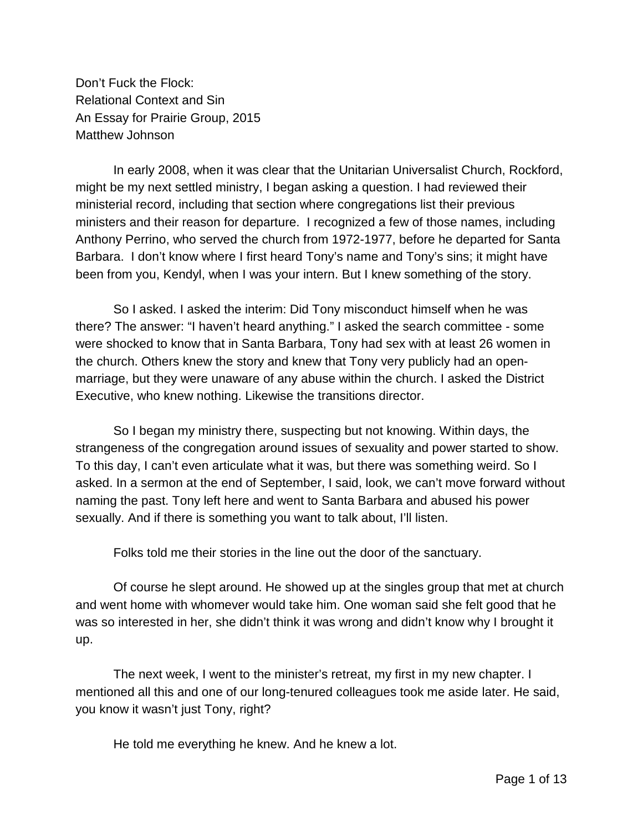Don't Fuck the Flock: Relational Context and Sin An Essay for Prairie Group, 2015 Matthew Johnson

In early 2008, when it was clear that the Unitarian Universalist Church, Rockford, might be my next settled ministry, I began asking a question. I had reviewed their ministerial record, including that section where congregations list their previous ministers and their reason for departure. I recognized a few of those names, including Anthony Perrino, who served the church from 1972-1977, before he departed for Santa Barbara. I don't know where I first heard Tony's name and Tony's sins; it might have been from you, Kendyl, when I was your intern. But I knew something of the story.

So I asked. I asked the interim: Did Tony misconduct himself when he was there? The answer: "I haven't heard anything." I asked the search committee - some were shocked to know that in Santa Barbara, Tony had sex with at least 26 women in the church. Others knew the story and knew that Tony very publicly had an openmarriage, but they were unaware of any abuse within the church. I asked the District Executive, who knew nothing. Likewise the transitions director.

So I began my ministry there, suspecting but not knowing. Within days, the strangeness of the congregation around issues of sexuality and power started to show. To this day, I can't even articulate what it was, but there was something weird. So I asked. In a sermon at the end of September, I said, look, we can't move forward without naming the past. Tony left here and went to Santa Barbara and abused his power sexually. And if there is something you want to talk about, I'll listen.

Folks told me their stories in the line out the door of the sanctuary.

Of course he slept around. He showed up at the singles group that met at church and went home with whomever would take him. One woman said she felt good that he was so interested in her, she didn't think it was wrong and didn't know why I brought it up.

The next week, I went to the minister's retreat, my first in my new chapter. I mentioned all this and one of our long-tenured colleagues took me aside later. He said, you know it wasn't just Tony, right?

He told me everything he knew. And he knew a lot.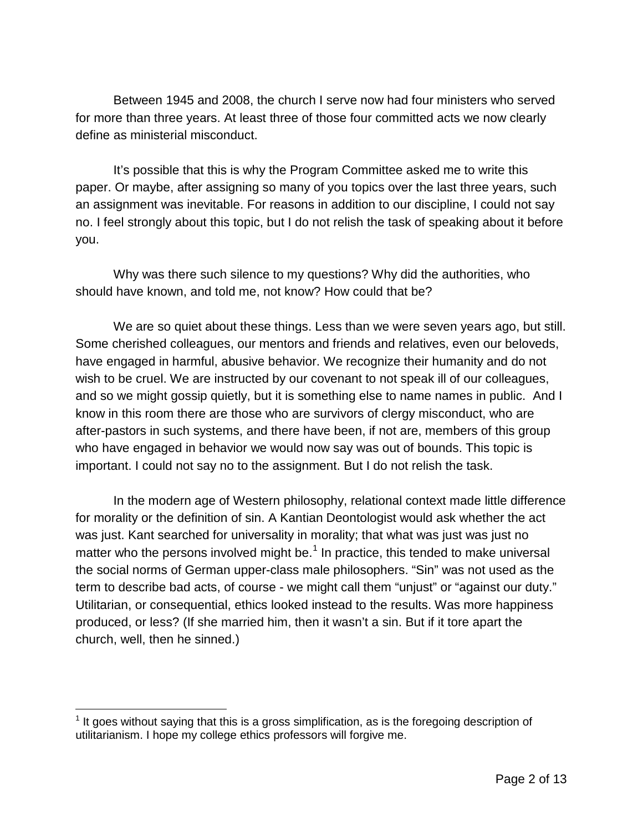Between 1945 and 2008, the church I serve now had four ministers who served for more than three years. At least three of those four committed acts we now clearly define as ministerial misconduct.

It's possible that this is why the Program Committee asked me to write this paper. Or maybe, after assigning so many of you topics over the last three years, such an assignment was inevitable. For reasons in addition to our discipline, I could not say no. I feel strongly about this topic, but I do not relish the task of speaking about it before you.

Why was there such silence to my questions? Why did the authorities, who should have known, and told me, not know? How could that be?

We are so quiet about these things. Less than we were seven years ago, but still. Some cherished colleagues, our mentors and friends and relatives, even our beloveds, have engaged in harmful, abusive behavior. We recognize their humanity and do not wish to be cruel. We are instructed by our covenant to not speak ill of our colleagues, and so we might gossip quietly, but it is something else to name names in public. And I know in this room there are those who are survivors of clergy misconduct, who are after-pastors in such systems, and there have been, if not are, members of this group who have engaged in behavior we would now say was out of bounds. This topic is important. I could not say no to the assignment. But I do not relish the task.

In the modern age of Western philosophy, relational context made little difference for morality or the definition of sin. A Kantian Deontologist would ask whether the act was just. Kant searched for universality in morality; that what was just was just no matter who the persons involved might be.<sup>[1](#page-1-0)</sup> In practice, this tended to make universal the social norms of German upper-class male philosophers. "Sin" was not used as the term to describe bad acts, of course - we might call them "unjust" or "against our duty." Utilitarian, or consequential, ethics looked instead to the results. Was more happiness produced, or less? (If she married him, then it wasn't a sin. But if it tore apart the church, well, then he sinned.)

<span id="page-1-0"></span> $<sup>1</sup>$  It goes without saying that this is a gross simplification, as is the foregoing description of</sup> utilitarianism. I hope my college ethics professors will forgive me.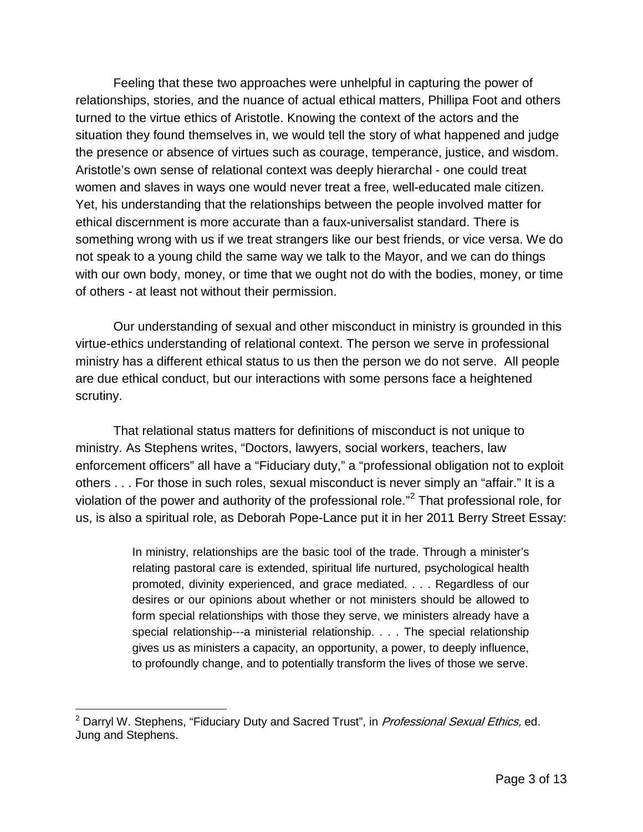Feeling that these two approaches were unhelpful in capturing the power of relationships, stories, and the nuance of actual ethical matters, Phillipa Foot and others turned to the virtue ethics of Aristotle. Knowing the context of the actors and the situation they found themselves in, we would tell the story of what happened and judge the presence or absence of virtues such as courage, temperance, justice, and wisdom. Aristotle's own sense of relational context was deeply hierarchal - one could treat women and slaves in ways one would never treat a free, well-educated male citizen. Yet, his understanding that the relationships between the people involved matter for ethical discernment is more accurate than a faux-universalist standard. There is something wrong with us if we treat strangers like our best friends, or vice versa. We do not speak to a young child the same way we talk to the Mayor, and we can do things with our own body, money, or time that we ought not do with the bodies, money, or time of others - at least not without their permission.

Our understanding of sexual and other misconduct in ministry is grounded in this virtue-ethics understanding of relational context. The person we serve in professional ministry has a different ethical status to us then the person we do not serve. All people are due ethical conduct, but our interactions with some persons face a heightened scrutiny.

That relational status matters for definitions of misconduct is not unique to ministry. As Stephens writes, "Doctors, lawyers, social workers, teachers, law enforcement officers" all have a "Fiduciary duty," a "professional obligation not to exploit others . . . For those in such roles, sexual misconduct is never simply an "affair." It is a violation of the power and authority of the professional role."[2](#page-2-0) That professional role, for us, is also a spiritual role, as Deborah Pope-Lance put it in her 2011 Berry Street Essay:

> In ministry, relationships are the basic tool of the trade. Through a minister's relating pastoral care is extended, spiritual life nurtured, psychological health promoted, divinity experienced, and grace mediated. . . . Regardless of our desires or our opinions about whether or not ministers should be allowed to form special relationships with those they serve, we ministers already have a special relationship---a ministerial relationship. . . . The special relationship gives us as ministers a capacity, an opportunity, a power, to deeply influence, to profoundly change, and to potentially transform the lives of those we serve.

<span id="page-2-0"></span><sup>&</sup>lt;sup>2</sup> Darryl W. Stephens, "Fiduciary Duty and Sacred Trust", in *Professional Sexual Ethics,* ed. Jung and Stephens.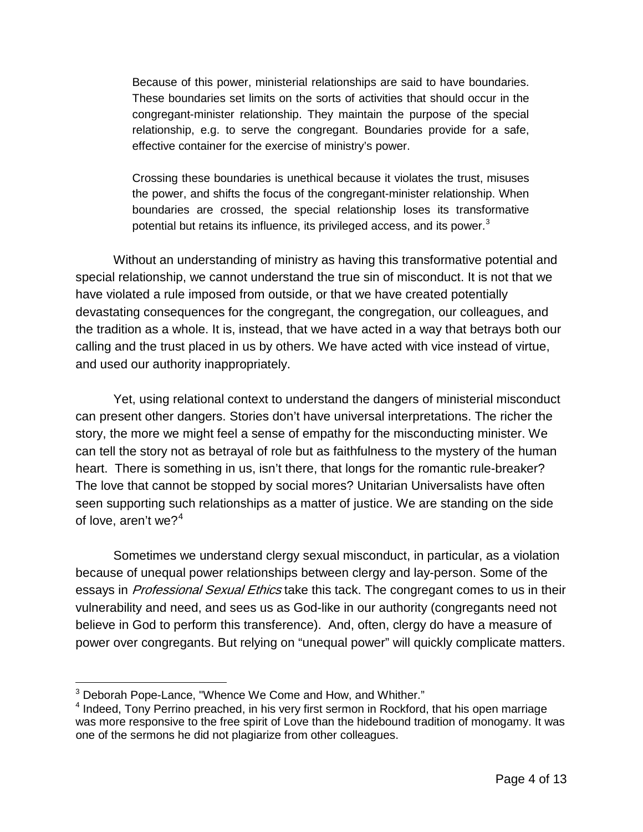Because of this power, ministerial relationships are said to have boundaries. These boundaries set limits on the sorts of activities that should occur in the congregant-minister relationship. They maintain the purpose of the special relationship, e.g. to serve the congregant. Boundaries provide for a safe, effective container for the exercise of ministry's power.

Crossing these boundaries is unethical because it violates the trust, misuses the power, and shifts the focus of the congregant-minister relationship. When boundaries are crossed, the special relationship loses its transformative potential but retains its influence, its privileged access, and its power. $3$ 

Without an understanding of ministry as having this transformative potential and special relationship, we cannot understand the true sin of misconduct. It is not that we have violated a rule imposed from outside, or that we have created potentially devastating consequences for the congregant, the congregation, our colleagues, and the tradition as a whole. It is, instead, that we have acted in a way that betrays both our calling and the trust placed in us by others. We have acted with vice instead of virtue, and used our authority inappropriately.

Yet, using relational context to understand the dangers of ministerial misconduct can present other dangers. Stories don't have universal interpretations. The richer the story, the more we might feel a sense of empathy for the misconducting minister. We can tell the story not as betrayal of role but as faithfulness to the mystery of the human heart. There is something in us, isn't there, that longs for the romantic rule-breaker? The love that cannot be stopped by social mores? Unitarian Universalists have often seen supporting such relationships as a matter of justice. We are standing on the side of love, aren't we? $4$ 

Sometimes we understand clergy sexual misconduct, in particular, as a violation because of unequal power relationships between clergy and lay-person. Some of the essays in *Professional Sexual Ethics* take this tack. The congregant comes to us in their vulnerability and need, and sees us as God-like in our authority (congregants need not believe in God to perform this transference). And, often, clergy do have a measure of power over congregants. But relying on "unequal power" will quickly complicate matters.

<span id="page-3-1"></span><span id="page-3-0"></span> $3$  Deborah Pope-Lance, "Whence We Come and How, and Whither."<br> $4$  Indeed, Tony Perrino preached, in his very first sermon in Rockford, that his open marriage was more responsive to the free spirit of Love than the hidebound tradition of monogamy. It was one of the sermons he did not plagiarize from other colleagues.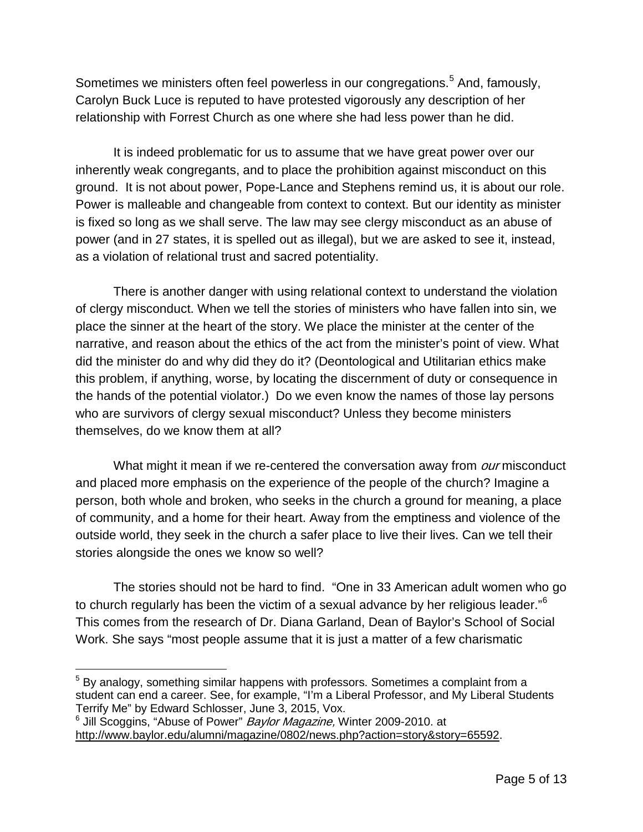Sometimes we ministers often feel powerless in our congregations.<sup>[5](#page-4-0)</sup> And, famously, Carolyn Buck Luce is reputed to have protested vigorously any description of her relationship with Forrest Church as one where she had less power than he did.

It is indeed problematic for us to assume that we have great power over our inherently weak congregants, and to place the prohibition against misconduct on this ground. It is not about power, Pope-Lance and Stephens remind us, it is about our role. Power is malleable and changeable from context to context. But our identity as minister is fixed so long as we shall serve. The law may see clergy misconduct as an abuse of power (and in 27 states, it is spelled out as illegal), but we are asked to see it, instead, as a violation of relational trust and sacred potentiality.

There is another danger with using relational context to understand the violation of clergy misconduct. When we tell the stories of ministers who have fallen into sin, we place the sinner at the heart of the story. We place the minister at the center of the narrative, and reason about the ethics of the act from the minister's point of view. What did the minister do and why did they do it? (Deontological and Utilitarian ethics make this problem, if anything, worse, by locating the discernment of duty or consequence in the hands of the potential violator.) Do we even know the names of those lay persons who are survivors of clergy sexual misconduct? Unless they become ministers themselves, do we know them at all?

What might it mean if we re-centered the conversation away from *our* misconduct and placed more emphasis on the experience of the people of the church? Imagine a person, both whole and broken, who seeks in the church a ground for meaning, a place of community, and a home for their heart. Away from the emptiness and violence of the outside world, they seek in the church a safer place to live their lives. Can we tell their stories alongside the ones we know so well?

The stories should not be hard to find. "One in 33 American adult women who go to church regularly has been the victim of a sexual advance by her religious leader." $6$ This comes from the research of Dr. Diana Garland, Dean of Baylor's School of Social Work. She says "most people assume that it is just a matter of a few charismatic

<span id="page-4-0"></span> $5$  By analogy, something similar happens with professors. Sometimes a complaint from a student can end a career. See, for example, "I'm a Liberal Professor, and My Liberal Students Terrify Me" by Edward Schlosser, June 3, 2015, Vox.

<span id="page-4-1"></span><sup>&</sup>lt;sup>6</sup> Jill Scoggins, "Abuse of Power" *Baylor Magazine*, Winter 2009-2010. at [http://www.baylor.edu/alumni/magazine/0802/news.php?action=story&story=65592.](http://www.baylor.edu/alumni/magazine/0802/news.php?action=story&story=65592)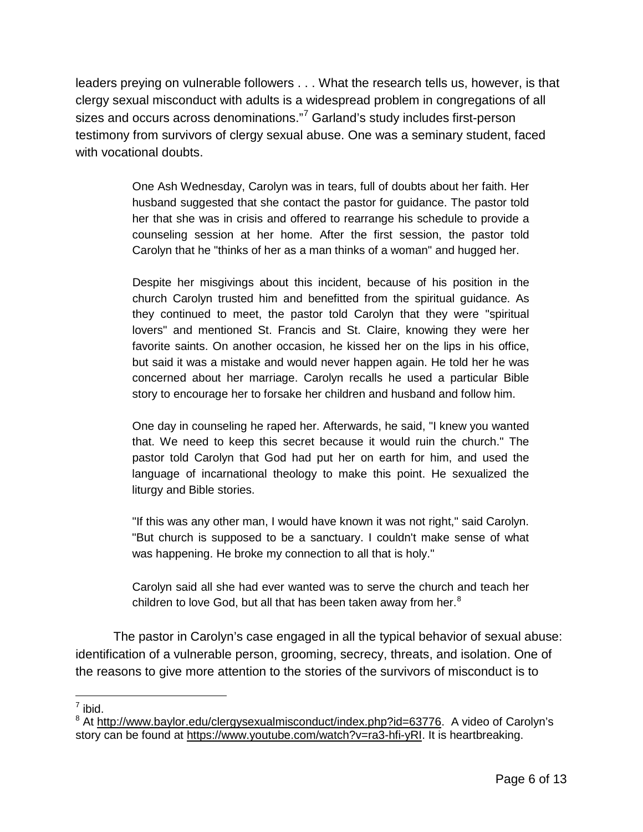leaders preying on vulnerable followers . . . What the research tells us, however, is that clergy sexual misconduct with adults is a widespread problem in congregations of all sizes and occurs across denominations."<sup>[7](#page-5-0)</sup> Garland's study includes first-person testimony from survivors of clergy sexual abuse. One was a seminary student, faced with vocational doubts.

> One Ash Wednesday, Carolyn was in tears, full of doubts about her faith. Her husband suggested that she contact the pastor for guidance. The pastor told her that she was in crisis and offered to rearrange his schedule to provide a counseling session at her home. After the first session, the pastor told Carolyn that he "thinks of her as a man thinks of a woman" and hugged her.

> Despite her misgivings about this incident, because of his position in the church Carolyn trusted him and benefitted from the spiritual guidance. As they continued to meet, the pastor told Carolyn that they were "spiritual lovers" and mentioned St. Francis and St. Claire, knowing they were her favorite saints. On another occasion, he kissed her on the lips in his office, but said it was a mistake and would never happen again. He told her he was concerned about her marriage. Carolyn recalls he used a particular Bible story to encourage her to forsake her children and husband and follow him.

> One day in counseling he raped her. Afterwards, he said, "I knew you wanted that. We need to keep this secret because it would ruin the church." The pastor told Carolyn that God had put her on earth for him, and used the language of incarnational theology to make this point. He sexualized the liturgy and Bible stories.

> "If this was any other man, I would have known it was not right," said Carolyn. "But church is supposed to be a sanctuary. I couldn't make sense of what was happening. He broke my connection to all that is holy."

> Carolyn said all she had ever wanted was to serve the church and teach her children to love God, but all that has been taken away from her. $8<sup>8</sup>$  $8<sup>8</sup>$

The pastor in Carolyn's case engaged in all the typical behavior of sexual abuse: identification of a vulnerable person, grooming, secrecy, threats, and isolation. One of the reasons to give more attention to the stories of the survivors of misconduct is to

 $\overline{a}$  $<sup>7</sup>$  ibid.</sup>

<span id="page-5-1"></span><span id="page-5-0"></span><sup>&</sup>lt;sup>8</sup> At [http://www.baylor.edu/clergysexualmisconduct/index.php?id=63776.](http://www.baylor.edu/clergysexualmisconduct/index.php?id=63776) A video of Carolyn's story can be found at [https://www.youtube.com/watch?v=ra3-hfi-yRI.](https://www.youtube.com/watch?v=ra3-hfi-yRI) It is heartbreaking.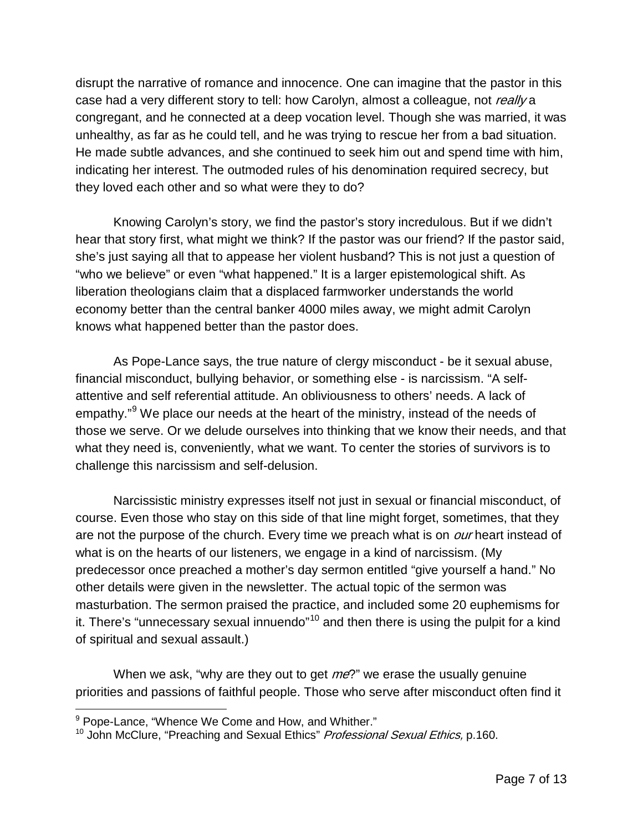disrupt the narrative of romance and innocence. One can imagine that the pastor in this case had a very different story to tell: how Carolyn, almost a colleague, not really a congregant, and he connected at a deep vocation level. Though she was married, it was unhealthy, as far as he could tell, and he was trying to rescue her from a bad situation. He made subtle advances, and she continued to seek him out and spend time with him, indicating her interest. The outmoded rules of his denomination required secrecy, but they loved each other and so what were they to do?

Knowing Carolyn's story, we find the pastor's story incredulous. But if we didn't hear that story first, what might we think? If the pastor was our friend? If the pastor said, she's just saying all that to appease her violent husband? This is not just a question of "who we believe" or even "what happened." It is a larger epistemological shift. As liberation theologians claim that a displaced farmworker understands the world economy better than the central banker 4000 miles away, we might admit Carolyn knows what happened better than the pastor does.

As Pope-Lance says, the true nature of clergy misconduct - be it sexual abuse, financial misconduct, bullying behavior, or something else - is narcissism. "A selfattentive and self referential attitude. An obliviousness to others' needs. A lack of empathy."<sup>[9](#page-6-0)</sup> We place our needs at the heart of the ministry, instead of the needs of those we serve. Or we delude ourselves into thinking that we know their needs, and that what they need is, conveniently, what we want. To center the stories of survivors is to challenge this narcissism and self-delusion.

Narcissistic ministry expresses itself not just in sexual or financial misconduct, of course. Even those who stay on this side of that line might forget, sometimes, that they are not the purpose of the church. Every time we preach what is on *our* heart instead of what is on the hearts of our listeners, we engage in a kind of narcissism. (My predecessor once preached a mother's day sermon entitled "give yourself a hand." No other details were given in the newsletter. The actual topic of the sermon was masturbation. The sermon praised the practice, and included some 20 euphemisms for it. There's "unnecessary sexual innuendo" $10$  and then there is using the pulpit for a kind of spiritual and sexual assault.)

When we ask, "why are they out to get *me*?" we erase the usually genuine priorities and passions of faithful people. Those who serve after misconduct often find it

 $\overline{a}$ 

<span id="page-6-1"></span><span id="page-6-0"></span><sup>&</sup>lt;sup>9</sup> Pope-Lance, "Whence We Come and How, and Whither."<br><sup>10</sup> John McClure, "Preaching and Sexual Ethics" *Professional Sexual Ethics*, p.160.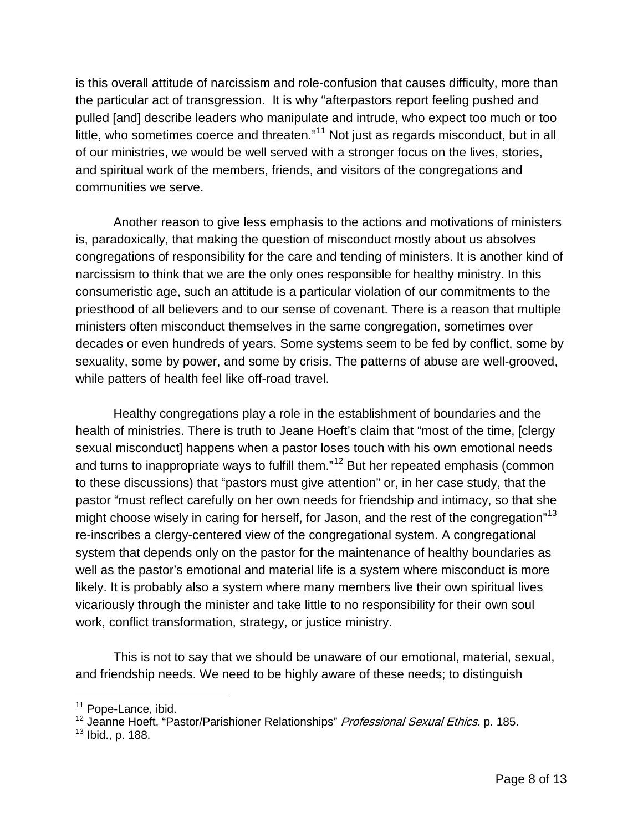is this overall attitude of narcissism and role-confusion that causes difficulty, more than the particular act of transgression. It is why "afterpastors report feeling pushed and pulled [and] describe leaders who manipulate and intrude, who expect too much or too little, who sometimes coerce and threaten."<sup>[11](#page-7-0)</sup> Not just as regards misconduct, but in all of our ministries, we would be well served with a stronger focus on the lives, stories, and spiritual work of the members, friends, and visitors of the congregations and communities we serve.

Another reason to give less emphasis to the actions and motivations of ministers is, paradoxically, that making the question of misconduct mostly about us absolves congregations of responsibility for the care and tending of ministers. It is another kind of narcissism to think that we are the only ones responsible for healthy ministry. In this consumeristic age, such an attitude is a particular violation of our commitments to the priesthood of all believers and to our sense of covenant. There is a reason that multiple ministers often misconduct themselves in the same congregation, sometimes over decades or even hundreds of years. Some systems seem to be fed by conflict, some by sexuality, some by power, and some by crisis. The patterns of abuse are well-grooved, while patters of health feel like off-road travel.

Healthy congregations play a role in the establishment of boundaries and the health of ministries. There is truth to Jeane Hoeft's claim that "most of the time, [clergy sexual misconduct] happens when a pastor loses touch with his own emotional needs and turns to inappropriate ways to fulfill them."<sup>[12](#page-7-1)</sup> But her repeated emphasis (common to these discussions) that "pastors must give attention" or, in her case study, that the pastor "must reflect carefully on her own needs for friendship and intimacy, so that she might choose wisely in caring for herself, for Jason, and the rest of the congregation"<sup>[13](#page-7-2)</sup> re-inscribes a clergy-centered view of the congregational system. A congregational system that depends only on the pastor for the maintenance of healthy boundaries as well as the pastor's emotional and material life is a system where misconduct is more likely. It is probably also a system where many members live their own spiritual lives vicariously through the minister and take little to no responsibility for their own soul work, conflict transformation, strategy, or justice ministry.

This is not to say that we should be unaware of our emotional, material, sexual, and friendship needs. We need to be highly aware of these needs; to distinguish

<span id="page-7-0"></span><sup>&</sup>lt;sup>11</sup> Pope-Lance, ibid.

<span id="page-7-1"></span><sup>&</sup>lt;sup>12</sup> Jeanne Hoeft, "Pastor/Parishioner Relationships" *Professional Sexual Ethics.* p. 185.

<span id="page-7-2"></span> $13$  Ibid., p. 188.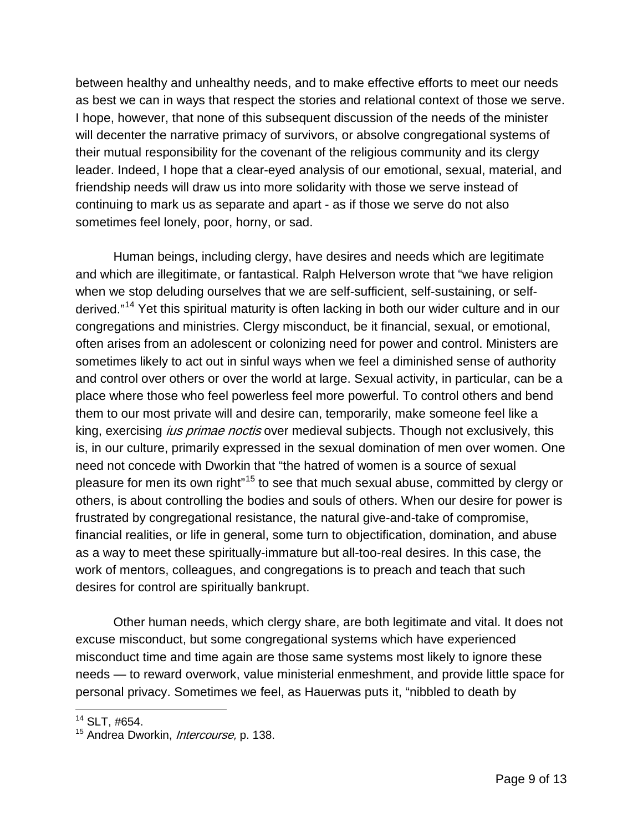between healthy and unhealthy needs, and to make effective efforts to meet our needs as best we can in ways that respect the stories and relational context of those we serve. I hope, however, that none of this subsequent discussion of the needs of the minister will decenter the narrative primacy of survivors, or absolve congregational systems of their mutual responsibility for the covenant of the religious community and its clergy leader. Indeed, I hope that a clear-eyed analysis of our emotional, sexual, material, and friendship needs will draw us into more solidarity with those we serve instead of continuing to mark us as separate and apart - as if those we serve do not also sometimes feel lonely, poor, horny, or sad.

Human beings, including clergy, have desires and needs which are legitimate and which are illegitimate, or fantastical. Ralph Helverson wrote that "we have religion when we stop deluding ourselves that we are self-sufficient, self-sustaining, or self-derived."<sup>[14](#page-8-0)</sup> Yet this spiritual maturity is often lacking in both our wider culture and in our congregations and ministries. Clergy misconduct, be it financial, sexual, or emotional, often arises from an adolescent or colonizing need for power and control. Ministers are sometimes likely to act out in sinful ways when we feel a diminished sense of authority and control over others or over the world at large. Sexual activity, in particular, can be a place where those who feel powerless feel more powerful. To control others and bend them to our most private will and desire can, temporarily, make someone feel like a king, exercising *ius primae noctis* over medieval subjects. Though not exclusively, this is, in our culture, primarily expressed in the sexual domination of men over women. One need not concede with Dworkin that "the hatred of women is a source of sexual pleasure for men its own right"[15](#page-8-1) to see that much sexual abuse, committed by clergy or others, is about controlling the bodies and souls of others. When our desire for power is frustrated by congregational resistance, the natural give-and-take of compromise, financial realities, or life in general, some turn to objectification, domination, and abuse as a way to meet these spiritually-immature but all-too-real desires. In this case, the work of mentors, colleagues, and congregations is to preach and teach that such desires for control are spiritually bankrupt.

Other human needs, which clergy share, are both legitimate and vital. It does not excuse misconduct, but some congregational systems which have experienced misconduct time and time again are those same systems most likely to ignore these needs — to reward overwork, value ministerial enmeshment, and provide little space for personal privacy. Sometimes we feel, as Hauerwas puts it, "nibbled to death by

<span id="page-8-0"></span> $14$  SLT,  $\#654$ .

<span id="page-8-1"></span><sup>&</sup>lt;sup>15</sup> Andrea Dworkin, *Intercourse*, p. 138.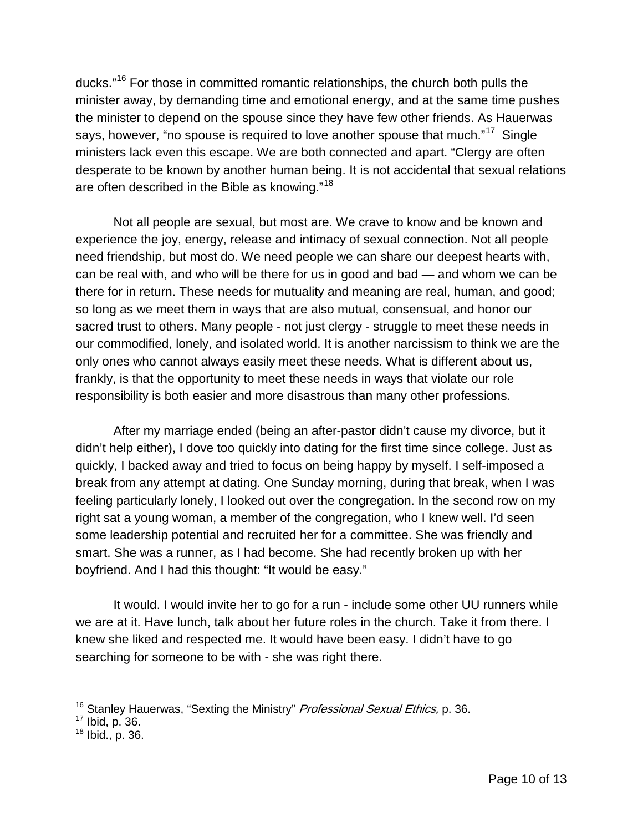ducks."<sup>[16](#page-9-0)</sup> For those in committed romantic relationships, the church both pulls the minister away, by demanding time and emotional energy, and at the same time pushes the minister to depend on the spouse since they have few other friends. As Hauerwas says, however, "no spouse is required to love another spouse that much."<sup>17</sup> Single ministers lack even this escape. We are both connected and apart. "Clergy are often desperate to be known by another human being. It is not accidental that sexual relations are often described in the Bible as knowing."[18](#page-9-2)

Not all people are sexual, but most are. We crave to know and be known and experience the joy, energy, release and intimacy of sexual connection. Not all people need friendship, but most do. We need people we can share our deepest hearts with, can be real with, and who will be there for us in good and bad — and whom we can be there for in return. These needs for mutuality and meaning are real, human, and good; so long as we meet them in ways that are also mutual, consensual, and honor our sacred trust to others. Many people - not just clergy - struggle to meet these needs in our commodified, lonely, and isolated world. It is another narcissism to think we are the only ones who cannot always easily meet these needs. What is different about us, frankly, is that the opportunity to meet these needs in ways that violate our role responsibility is both easier and more disastrous than many other professions.

After my marriage ended (being an after-pastor didn't cause my divorce, but it didn't help either), I dove too quickly into dating for the first time since college. Just as quickly, I backed away and tried to focus on being happy by myself. I self-imposed a break from any attempt at dating. One Sunday morning, during that break, when I was feeling particularly lonely, I looked out over the congregation. In the second row on my right sat a young woman, a member of the congregation, who I knew well. I'd seen some leadership potential and recruited her for a committee. She was friendly and smart. She was a runner, as I had become. She had recently broken up with her boyfriend. And I had this thought: "It would be easy."

It would. I would invite her to go for a run - include some other UU runners while we are at it. Have lunch, talk about her future roles in the church. Take it from there. I knew she liked and respected me. It would have been easy. I didn't have to go searching for someone to be with - she was right there.

<span id="page-9-0"></span><sup>&</sup>lt;sup>16</sup> Stanley Hauerwas, "Sexting the Ministry" Professional Sexual Ethics, p. 36.

<span id="page-9-1"></span> $17$  Ibid, p. 36.

<span id="page-9-2"></span> $18$  Ibid., p. 36.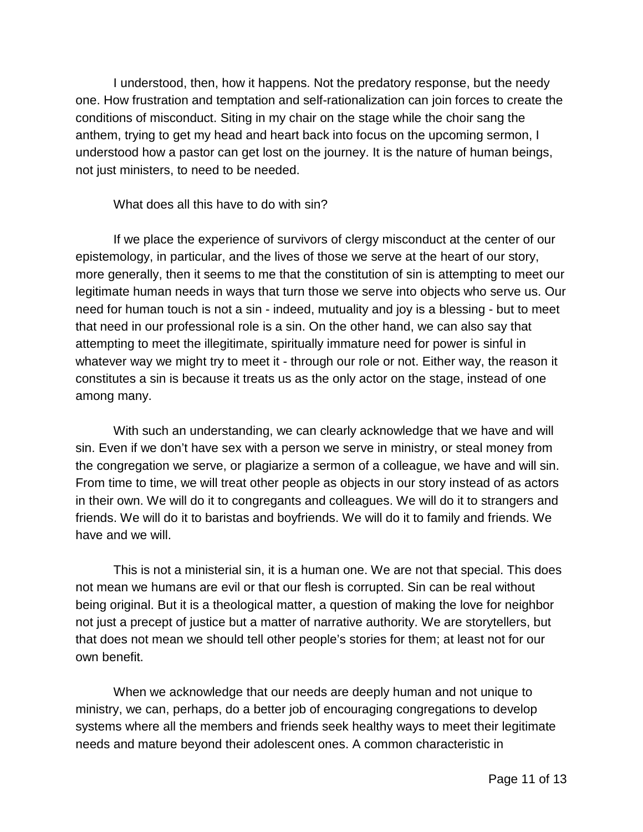I understood, then, how it happens. Not the predatory response, but the needy one. How frustration and temptation and self-rationalization can join forces to create the conditions of misconduct. Siting in my chair on the stage while the choir sang the anthem, trying to get my head and heart back into focus on the upcoming sermon, I understood how a pastor can get lost on the journey. It is the nature of human beings, not just ministers, to need to be needed.

What does all this have to do with sin?

If we place the experience of survivors of clergy misconduct at the center of our epistemology, in particular, and the lives of those we serve at the heart of our story, more generally, then it seems to me that the constitution of sin is attempting to meet our legitimate human needs in ways that turn those we serve into objects who serve us. Our need for human touch is not a sin - indeed, mutuality and joy is a blessing - but to meet that need in our professional role is a sin. On the other hand, we can also say that attempting to meet the illegitimate, spiritually immature need for power is sinful in whatever way we might try to meet it - through our role or not. Either way, the reason it constitutes a sin is because it treats us as the only actor on the stage, instead of one among many.

With such an understanding, we can clearly acknowledge that we have and will sin. Even if we don't have sex with a person we serve in ministry, or steal money from the congregation we serve, or plagiarize a sermon of a colleague, we have and will sin. From time to time, we will treat other people as objects in our story instead of as actors in their own. We will do it to congregants and colleagues. We will do it to strangers and friends. We will do it to baristas and boyfriends. We will do it to family and friends. We have and we will.

This is not a ministerial sin, it is a human one. We are not that special. This does not mean we humans are evil or that our flesh is corrupted. Sin can be real without being original. But it is a theological matter, a question of making the love for neighbor not just a precept of justice but a matter of narrative authority. We are storytellers, but that does not mean we should tell other people's stories for them; at least not for our own benefit.

When we acknowledge that our needs are deeply human and not unique to ministry, we can, perhaps, do a better job of encouraging congregations to develop systems where all the members and friends seek healthy ways to meet their legitimate needs and mature beyond their adolescent ones. A common characteristic in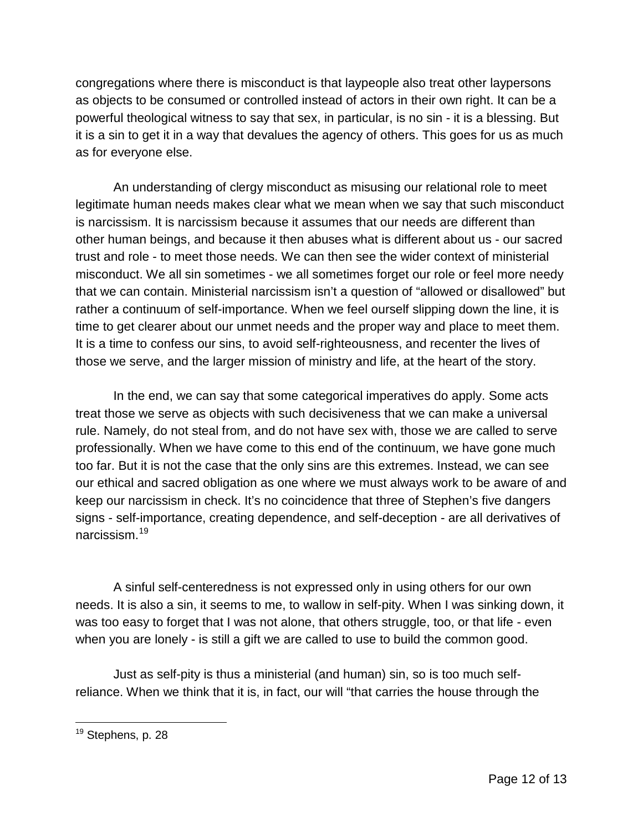congregations where there is misconduct is that laypeople also treat other laypersons as objects to be consumed or controlled instead of actors in their own right. It can be a powerful theological witness to say that sex, in particular, is no sin - it is a blessing. But it is a sin to get it in a way that devalues the agency of others. This goes for us as much as for everyone else.

An understanding of clergy misconduct as misusing our relational role to meet legitimate human needs makes clear what we mean when we say that such misconduct is narcissism. It is narcissism because it assumes that our needs are different than other human beings, and because it then abuses what is different about us - our sacred trust and role - to meet those needs. We can then see the wider context of ministerial misconduct. We all sin sometimes - we all sometimes forget our role or feel more needy that we can contain. Ministerial narcissism isn't a question of "allowed or disallowed" but rather a continuum of self-importance. When we feel ourself slipping down the line, it is time to get clearer about our unmet needs and the proper way and place to meet them. It is a time to confess our sins, to avoid self-righteousness, and recenter the lives of those we serve, and the larger mission of ministry and life, at the heart of the story.

In the end, we can say that some categorical imperatives do apply. Some acts treat those we serve as objects with such decisiveness that we can make a universal rule. Namely, do not steal from, and do not have sex with, those we are called to serve professionally. When we have come to this end of the continuum, we have gone much too far. But it is not the case that the only sins are this extremes. Instead, we can see our ethical and sacred obligation as one where we must always work to be aware of and keep our narcissism in check. It's no coincidence that three of Stephen's five dangers signs - self-importance, creating dependence, and self-deception - are all derivatives of narcissism<sup>[19](#page-11-0)</sup>

A sinful self-centeredness is not expressed only in using others for our own needs. It is also a sin, it seems to me, to wallow in self-pity. When I was sinking down, it was too easy to forget that I was not alone, that others struggle, too, or that life - even when you are lonely - is still a gift we are called to use to build the common good.

Just as self-pity is thus a ministerial (and human) sin, so is too much selfreliance. When we think that it is, in fact, our will "that carries the house through the

<span id="page-11-0"></span><sup>&</sup>lt;sup>19</sup> Stephens, p. 28